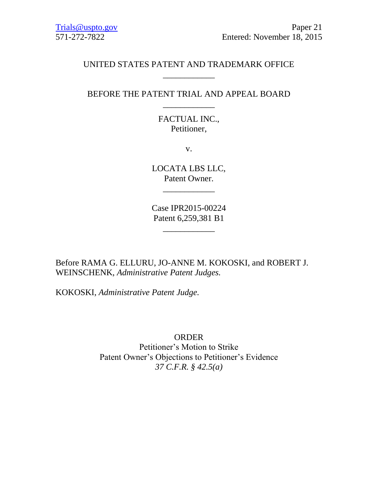## UNITED STATES PATENT AND TRADEMARK OFFICE \_\_\_\_\_\_\_\_\_\_\_\_

## BEFORE THE PATENT TRIAL AND APPEAL BOARD \_\_\_\_\_\_\_\_\_\_\_\_

# FACTUAL INC., Petitioner,

v.

LOCATA LBS LLC, Patent Owner.

\_\_\_\_\_\_\_\_\_\_\_\_

Case IPR2015-00224 Patent 6,259,381 B1

\_\_\_\_\_\_\_\_\_\_\_\_

Before RAMA G. ELLURU, JO-ANNE M. KOKOSKI, and ROBERT J. WEINSCHENK, *Administrative Patent Judges.*

KOKOSKI, *Administrative Patent Judge.*

ORDER Petitioner's Motion to Strike Patent Owner's Objections to Petitioner's Evidence *37 C.F.R. § 42.5(a)*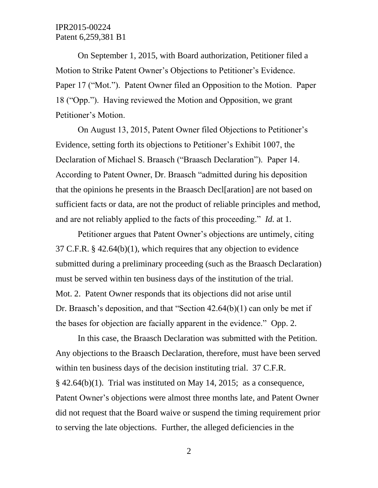#### IPR2015-00224 Patent 6,259,381 B1

On September 1, 2015, with Board authorization, Petitioner filed a Motion to Strike Patent Owner's Objections to Petitioner's Evidence. Paper 17 ("Mot."). Patent Owner filed an Opposition to the Motion. Paper 18 ("Opp."). Having reviewed the Motion and Opposition, we grant Petitioner's Motion.

On August 13, 2015, Patent Owner filed Objections to Petitioner's Evidence, setting forth its objections to Petitioner's Exhibit 1007, the Declaration of Michael S. Braasch ("Braasch Declaration"). Paper 14. According to Patent Owner, Dr. Braasch "admitted during his deposition that the opinions he presents in the Braasch Decl[aration] are not based on sufficient facts or data, are not the product of reliable principles and method, and are not reliably applied to the facts of this proceeding." *Id.* at 1.

Petitioner argues that Patent Owner's objections are untimely, citing 37 C.F.R. § 42.64(b)(1), which requires that any objection to evidence submitted during a preliminary proceeding (such as the Braasch Declaration) must be served within ten business days of the institution of the trial. Mot. 2. Patent Owner responds that its objections did not arise until Dr. Braasch's deposition, and that "Section 42.64(b)(1) can only be met if the bases for objection are facially apparent in the evidence." Opp. 2.

In this case, the Braasch Declaration was submitted with the Petition. Any objections to the Braasch Declaration, therefore, must have been served within ten business days of the decision instituting trial. 37 C.F.R.  $§$  42.64(b)(1). Trial was instituted on May 14, 2015; as a consequence, Patent Owner's objections were almost three months late, and Patent Owner did not request that the Board waive or suspend the timing requirement prior to serving the late objections. Further, the alleged deficiencies in the

2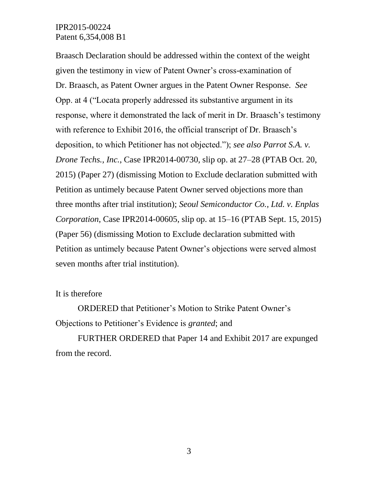#### IPR2015-00224 Patent 6,354,008 B1

Braasch Declaration should be addressed within the context of the weight given the testimony in view of Patent Owner's cross-examination of Dr. Braasch, as Patent Owner argues in the Patent Owner Response. *See*  Opp. at 4 ("Locata properly addressed its substantive argument in its response, where it demonstrated the lack of merit in Dr. Braasch's testimony with reference to Exhibit 2016, the official transcript of Dr. Braasch's deposition, to which Petitioner has not objected."); *see also Parrot S.A. v. Drone Techs., Inc.*, Case IPR2014-00730, slip op. at 27–28 (PTAB Oct. 20, 2015) (Paper 27) (dismissing Motion to Exclude declaration submitted with Petition as untimely because Patent Owner served objections more than three months after trial institution); *Seoul Semiconductor Co., Ltd. v. Enplas Corporation*, Case IPR2014-00605, slip op. at 15–16 (PTAB Sept. 15, 2015) (Paper 56) (dismissing Motion to Exclude declaration submitted with Petition as untimely because Patent Owner's objections were served almost seven months after trial institution).

#### It is therefore

ORDERED that Petitioner's Motion to Strike Patent Owner's Objections to Petitioner's Evidence is *granted*; and

FURTHER ORDERED that Paper 14 and Exhibit 2017 are expunged from the record.